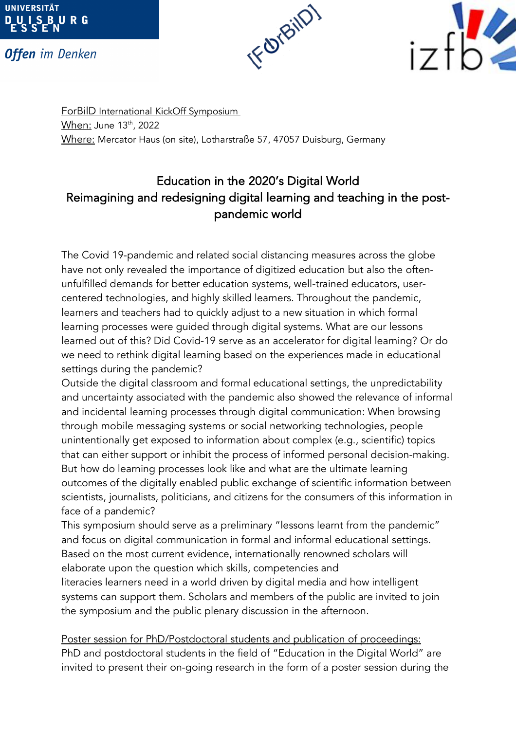

**Offen** im Denken





ForBilD International KickOff Symposium When: June 13th, 2022 Where: Mercator Haus (on site), Lotharstraße 57, 47057 Duisburg, Germany

# Education in the 2020's Digital World Reimagining and redesigning digital learning and teaching in the postpandemic world

The Covid 19-pandemic and related social distancing measures across the globe have not only revealed the importance of digitized education but also the oftenunfulfilled demands for better education systems, well-trained educators, usercentered technologies, and highly skilled learners. Throughout the pandemic, learners and teachers had to quickly adjust to a new situation in which formal learning processes were guided through digital systems. What are our lessons learned out of this? Did Covid-19 serve as an accelerator for digital learning? Or do we need to rethink digital learning based on the experiences made in educational settings during the pandemic?

Outside the digital classroom and formal educational settings, the unpredictability and uncertainty associated with the pandemic also showed the relevance of informal and incidental learning processes through digital communication: When browsing through mobile messaging systems or social networking technologies, people unintentionally get exposed to information about complex (e.g., scientific) topics that can either support or inhibit the process of informed personal decision-making. But how do learning processes look like and what are the ultimate learning outcomes of the digitally enabled public exchange of scientific information between scientists, journalists, politicians, and citizens for the consumers of this information in face of a pandemic?

This symposium should serve as a preliminary "lessons learnt from the pandemic" and focus on digital communication in formal and informal educational settings. Based on the most current evidence, internationally renowned scholars will elaborate upon the question which skills, competencies and

literacies learners need in a world driven by digital media and how intelligent systems can support them. Scholars and members of the public are invited to join the symposium and the public plenary discussion in the afternoon.

Poster session for PhD/Postdoctoral students and publication of proceedings: PhD and postdoctoral students in the field of "Education in the Digital World" are invited to present their on-going research in the form of a poster session during the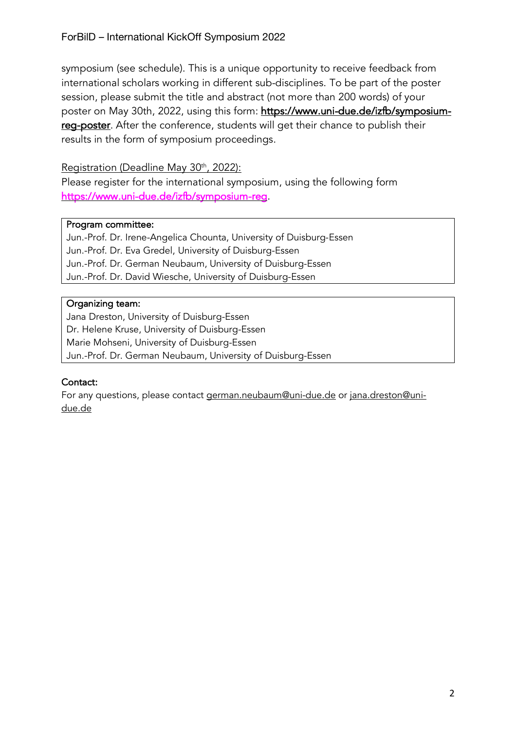symposium (see schedule). This is a unique opportunity to receive feedback from international scholars working in different sub-disciplines. To be part of the poster session, please submit the title and abstract (not more than 200 words) of your poster on May 30th, 2022, using this form: https://www.uni-due.de/izfb/symposiumreg-poster. After the conference, students will get their chance to publish their results in the form of symposium proceedings.

## Registration (Deadline May 30<sup>th</sup>, 2022):

Please register for the international symposium, using the following form https://www.uni-due.de/izfb/symposium-reg.

## Program committee:

Jun.-Prof. Dr. Irene-Angelica Chounta, University of Duisburg-Essen Jun.-Prof. Dr. Eva Gredel, University of Duisburg-Essen Jun.-Prof. Dr. German Neubaum, University of Duisburg-Essen Jun.-Prof. Dr. David Wiesche, University of Duisburg-Essen

## Organizing team:

Jana Dreston, University of Duisburg-Essen Dr. Helene Kruse, University of Duisburg-Essen Marie Mohseni, University of Duisburg-Essen Jun.-Prof. Dr. German Neubaum, University of Duisburg-Essen

## Contact:

For any questions, please contact german.neubaum@uni-due.de or jana.dreston@unidue.de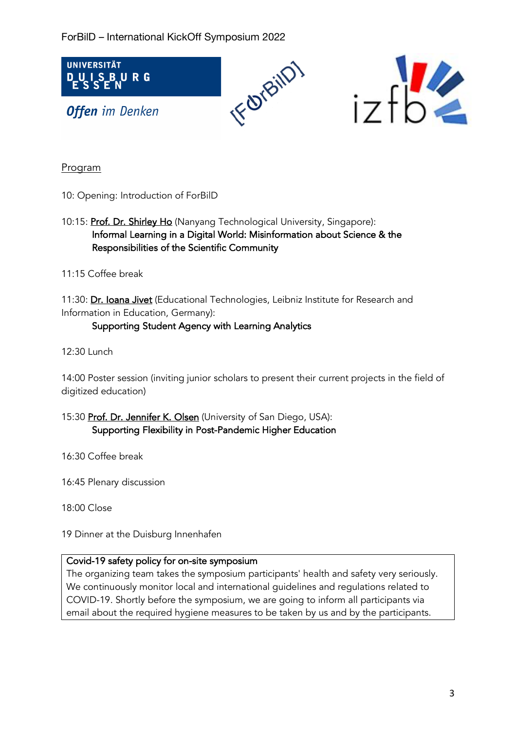

Program

10: Opening: Introduction of ForBilD

10:15: Prof. Dr. Shirley Ho (Nanyang Technological University, Singapore): Informal Learning in a Digital World: Misinformation about Science & the Responsibilities of the Scientific Community

11:15 Coffee break

11:30: Dr. Ioana Jivet (Educational Technologies, Leibniz Institute for Research and Information in Education, Germany):

### Supporting Student Agency with Learning Analytics

12:30 Lunch

14:00 Poster session (inviting junior scholars to present their current projects in the field of digitized education)

15:30 Prof. Dr. Jennifer K. Olsen (University of San Diego, USA): Supporting Flexibility in Post-Pandemic Higher Education

16:30 Coffee break

16:45 Plenary discussion

18:00 Close

19 Dinner at the Duisburg Innenhafen

#### Covid-19 safety policy for on-site symposium

The organizing team takes the symposium participants' health and safety very seriously. We continuously monitor local and international guidelines and regulations related to COVID-19. Shortly before the symposium, we are going to inform all participants via email about the required hygiene measures to be taken by us and by the participants.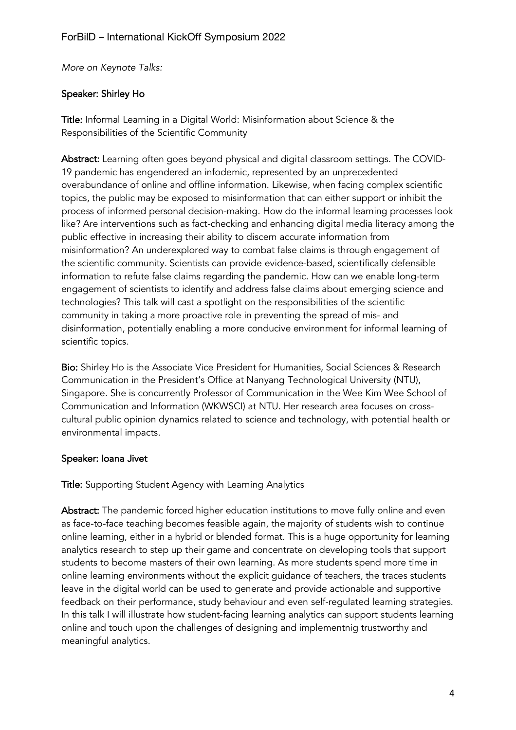*More on Keynote Talks:*

## Speaker: Shirley Ho

Title: Informal Learning in a Digital World: Misinformation about Science & the Responsibilities of the Scientific Community

Abstract: Learning often goes beyond physical and digital classroom settings. The COVID-19 pandemic has engendered an infodemic, represented by an unprecedented overabundance of online and offline information. Likewise, when facing complex scientific topics, the public may be exposed to misinformation that can either support or inhibit the process of informed personal decision-making. How do the informal learning processes look like? Are interventions such as fact-checking and enhancing digital media literacy among the public effective in increasing their ability to discern accurate information from misinformation? An underexplored way to combat false claims is through engagement of the scientific community. Scientists can provide evidence-based, scientifically defensible information to refute false claims regarding the pandemic. How can we enable long-term engagement of scientists to identify and address false claims about emerging science and technologies? This talk will cast a spotlight on the responsibilities of the scientific community in taking a more proactive role in preventing the spread of mis- and disinformation, potentially enabling a more conducive environment for informal learning of scientific topics.

Bio: Shirley Ho is the Associate Vice President for Humanities, Social Sciences & Research Communication in the President's Office at Nanyang Technological University (NTU), Singapore. She is concurrently Professor of Communication in the Wee Kim Wee School of Communication and Information (WKWSCI) at NTU. Her research area focuses on crosscultural public opinion dynamics related to science and technology, with potential health or environmental impacts.

## Speaker: Ioana Jivet

Title: Supporting Student Agency with Learning Analytics

Abstract: The pandemic forced higher education institutions to move fully online and even as face-to-face teaching becomes feasible again, the majority of students wish to continue online learning, either in a hybrid or blended format. This is a huge opportunity for learning analytics research to step up their game and concentrate on developing tools that support students to become masters of their own learning. As more students spend more time in online learning environments without the explicit guidance of teachers, the traces students leave in the digital world can be used to generate and provide actionable and supportive feedback on their performance, study behaviour and even self-regulated learning strategies. In this talk I will illustrate how student-facing learning analytics can support students learning online and touch upon the challenges of designing and implementnig trustworthy and meaningful analytics.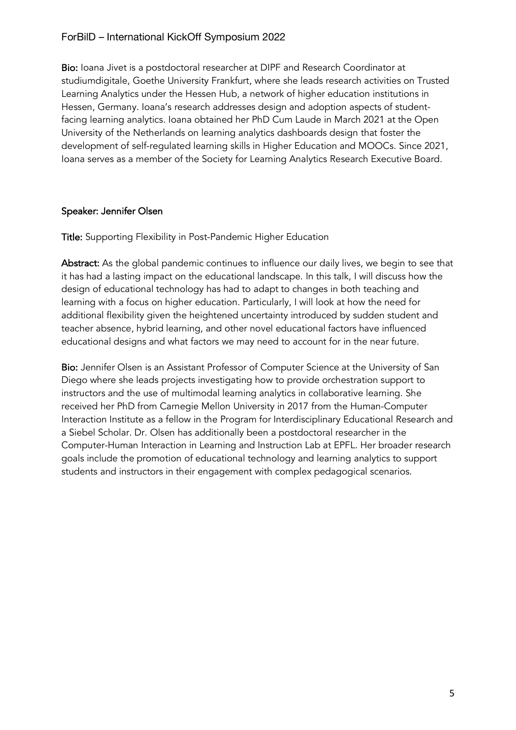## ForBilD – International KickOff Symposium 2022

Bio: Ioana Jivet is a postdoctoral researcher at DIPF and Research Coordinator at studiumdigitale, Goethe University Frankfurt, where she leads research activities on Trusted Learning Analytics under the Hessen Hub, a network of higher education institutions in Hessen, Germany. Ioana's research addresses design and adoption aspects of studentfacing learning analytics. Ioana obtained her PhD Cum Laude in March 2021 at the Open University of the Netherlands on learning analytics dashboards design that foster the development of self-regulated learning skills in Higher Education and MOOCs. Since 2021, Ioana serves as a member of the Society for Learning Analytics Research Executive Board.

#### Speaker: Jennifer Olsen

Title: Supporting Flexibility in Post-Pandemic Higher Education

Abstract: As the global pandemic continues to influence our daily lives, we begin to see that it has had a lasting impact on the educational landscape. In this talk, I will discuss how the design of educational technology has had to adapt to changes in both teaching and learning with a focus on higher education. Particularly, I will look at how the need for additional flexibility given the heightened uncertainty introduced by sudden student and teacher absence, hybrid learning, and other novel educational factors have influenced educational designs and what factors we may need to account for in the near future.

Bio: Jennifer Olsen is an Assistant Professor of Computer Science at the University of San Diego where she leads projects investigating how to provide orchestration support to instructors and the use of multimodal learning analytics in collaborative learning. She received her PhD from Carnegie Mellon University in 2017 from the Human-Computer Interaction Institute as a fellow in the Program for Interdisciplinary Educational Research and a Siebel Scholar. Dr. Olsen has additionally been a postdoctoral researcher in the Computer-Human Interaction in Learning and Instruction Lab at EPFL. Her broader research goals include the promotion of educational technology and learning analytics to support students and instructors in their engagement with complex pedagogical scenarios.